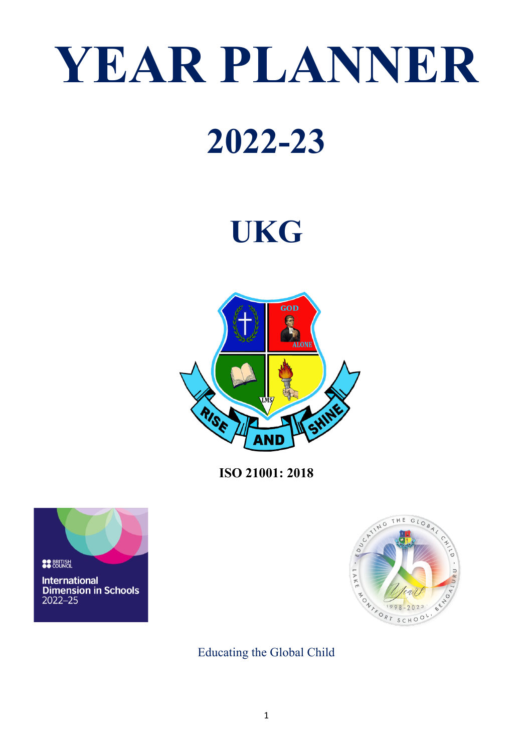# **YEAR PLANNER**

# **2022-23**

# **UKG**



**ISO 21001: 2018**





Educating the Global Child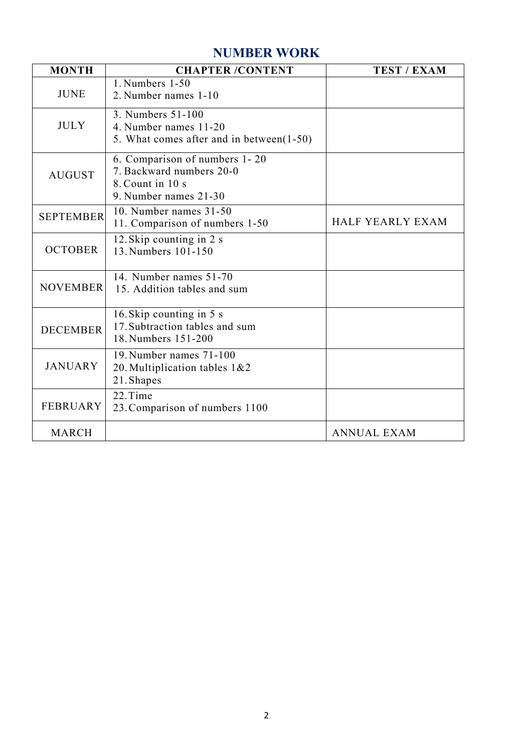#### **NUMBER WORK**

| <b>MONTH</b>     | <b>CHAPTER /CONTENT</b>                                                                                | <b>TEST / EXAM</b> |
|------------------|--------------------------------------------------------------------------------------------------------|--------------------|
| <b>JUNE</b>      | 1. Numbers 1-50<br>2. Number names 1-10                                                                |                    |
| <b>JULY</b>      | 3. Numbers 51-100<br>4. Number names 11-20<br>5. What comes after and in between(1-50)                 |                    |
| <b>AUGUST</b>    | 6. Comparison of numbers 1-20<br>7. Backward numbers 20-0<br>8. Count in 10 s<br>9. Number names 21-30 |                    |
| <b>SEPTEMBER</b> | 10. Number names 31-50<br>11. Comparison of numbers 1-50                                               | HALF YEARLY EXAM   |
| <b>OCTOBER</b>   | 12. Skip counting in 2 s<br>13. Numbers 101-150                                                        |                    |
| <b>NOVEMBER</b>  | 14. Number names 51-70<br>15. Addition tables and sum                                                  |                    |
| <b>DECEMBER</b>  | 16. Skip counting in 5 s<br>17. Subtraction tables and sum<br>18. Numbers 151-200                      |                    |
| <b>JANUARY</b>   | 19. Number names 71-100<br>20. Multiplication tables 1&2<br>21. Shapes                                 |                    |
| <b>FEBRUARY</b>  | 22.Time<br>23. Comparison of numbers 1100                                                              |                    |
| <b>MARCH</b>     |                                                                                                        | <b>ANNUAL EXAM</b> |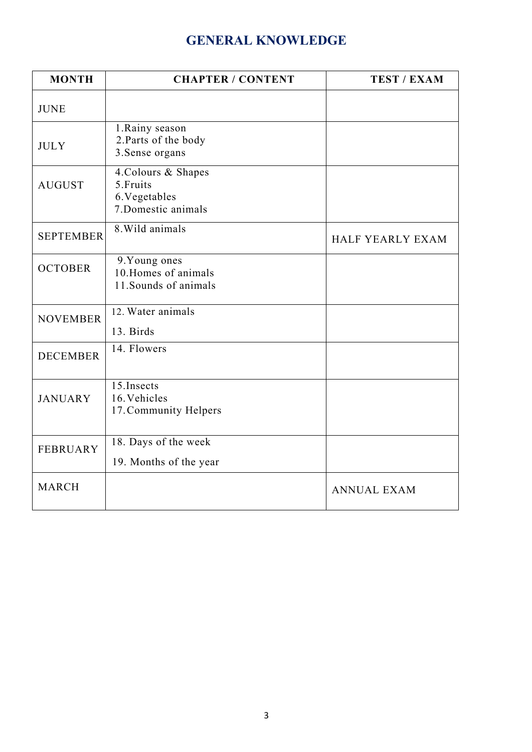### **GENERAL KNOWLEDGE**

| <b>MONTH</b>     | <b>CHAPTER / CONTENT</b>                                                 | <b>TEST / EXAM</b> |
|------------------|--------------------------------------------------------------------------|--------------------|
| <b>JUNE</b>      |                                                                          |                    |
| <b>JULY</b>      | 1. Rainy season<br>2. Parts of the body<br>3. Sense organs               |                    |
| <b>AUGUST</b>    | 4. Colours & Shapes<br>5. Fruits<br>6. Vegetables<br>7. Domestic animals |                    |
| <b>SEPTEMBER</b> | 8. Wild animals                                                          | HALF YEARLY EXAM   |
| <b>OCTOBER</b>   | 9. Young ones<br>10. Homes of animals<br>11. Sounds of animals           |                    |
| <b>NOVEMBER</b>  | 12. Water animals<br>13. Birds                                           |                    |
| <b>DECEMBER</b>  | 14. Flowers                                                              |                    |
| <b>JANUARY</b>   | 15. Insects<br>16. Vehicles<br>17. Community Helpers                     |                    |
| <b>FEBRUARY</b>  | 18. Days of the week<br>19. Months of the year                           |                    |
| <b>MARCH</b>     |                                                                          | <b>ANNUAL EXAM</b> |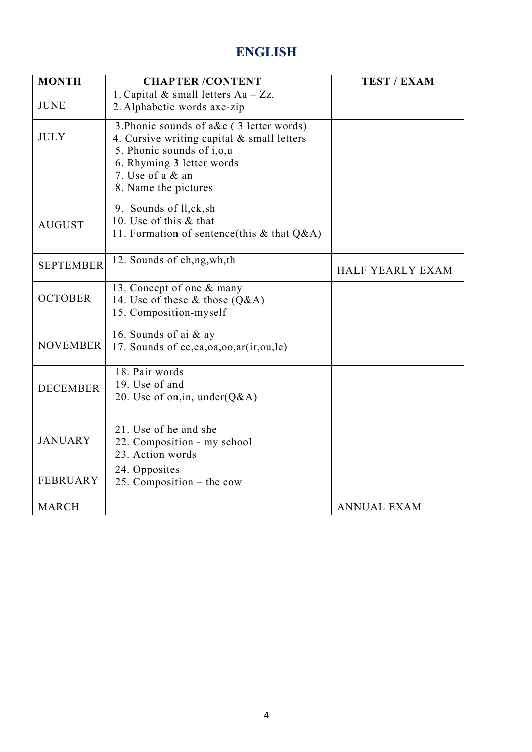#### **ENGLISH**

| <b>MONTH</b>     | <b>CHAPTER /CONTENT</b>                                                                                                                                                                      | <b>TEST / EXAM</b> |
|------------------|----------------------------------------------------------------------------------------------------------------------------------------------------------------------------------------------|--------------------|
| <b>JUNE</b>      | 1. Capital & small letters Aa - Zz.<br>2. Alphabetic words axe-zip                                                                                                                           |                    |
| <b>JULY</b>      | 3. Phonic sounds of a&e (3 letter words)<br>4. Cursive writing capital & small letters<br>5. Phonic sounds of i,o,u<br>6. Rhyming 3 letter words<br>7. Use of a & an<br>8. Name the pictures |                    |
| <b>AUGUST</b>    | 9. Sounds of ll,ck,sh<br>10. Use of this & that<br>11. Formation of sentence(this & that $Q&A$ )                                                                                             |                    |
| <b>SEPTEMBER</b> | 12. Sounds of ch,ng, wh, th                                                                                                                                                                  | HALF YEARLY EXAM   |
| <b>OCTOBER</b>   | 13. Concept of one & many<br>14. Use of these & those $(Q&A)$<br>15. Composition-myself                                                                                                      |                    |
| <b>NOVEMBER</b>  | 16. Sounds of ai & ay<br>17. Sounds of ee,ea,oa,oo,ar(ir,ou,le)                                                                                                                              |                    |
| <b>DECEMBER</b>  | 18. Pair words<br>19. Use of and<br>20. Use of on, in, under $(Q&A)$                                                                                                                         |                    |
| <b>JANUARY</b>   | 21. Use of he and she<br>22. Composition - my school<br>23. Action words                                                                                                                     |                    |
| <b>FEBRUARY</b>  | 24. Opposites<br>25. Composition $-$ the cow                                                                                                                                                 |                    |
| <b>MARCH</b>     |                                                                                                                                                                                              | <b>ANNUAL EXAM</b> |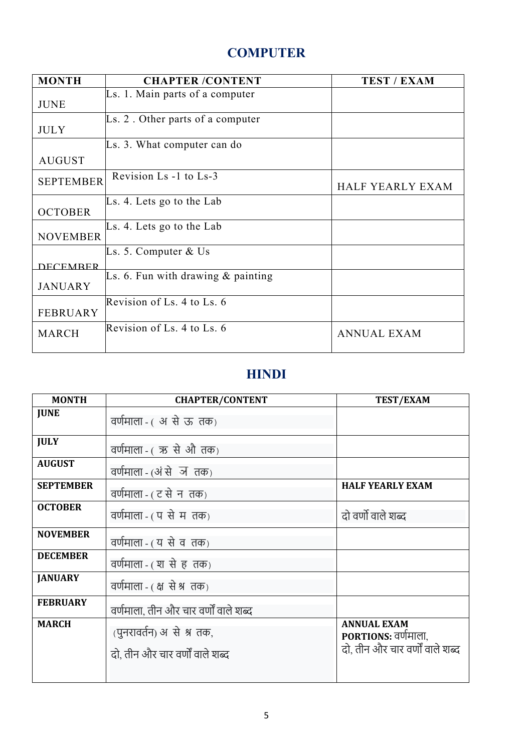### **COMPUTER**

| <b>MONTH</b>     | <b>CHAPTER /CONTENT</b>                      | <b>TEST / EXAM</b> |
|------------------|----------------------------------------------|--------------------|
|                  | Ls. 1. Main parts of a computer              |                    |
| <b>JUNE</b>      |                                              |                    |
|                  | $\mathbb{L}s$ . 2. Other parts of a computer |                    |
| <b>JULY</b>      |                                              |                    |
|                  | Ls. 3. What computer can do                  |                    |
| <b>AUGUST</b>    |                                              |                    |
| <b>SEPTEMBER</b> | Revision Ls -1 to Ls-3                       |                    |
|                  |                                              | HALF YEARLY EXAM   |
|                  | $\mathbb{L}$ s. 4. Lets go to the Lab        |                    |
| <b>OCTOBER</b>   |                                              |                    |
|                  | Ls. 4. Lets go to the Lab                    |                    |
| <b>NOVEMBER</b>  |                                              |                    |
|                  | Ls. 5. Computer $&$ Us                       |                    |
| <b>DECEMBER</b>  |                                              |                    |
|                  | Ls. 6. Fun with drawing $\&$ painting        |                    |
| <b>JANUARY</b>   |                                              |                    |
|                  | Revision of Ls. 4 to Ls. 6                   |                    |
| <b>FEBRUARY</b>  |                                              |                    |
| <b>MARCH</b>     | Revision of Ls. $4$ to Ls. $6$               | <b>ANNUAL EXAM</b> |
|                  |                                              |                    |

#### **HINDI**

| <b>MONTH</b>     | <b>CHAPTER/CONTENT</b>                                      | TEST/EXAM                                                                    |
|------------------|-------------------------------------------------------------|------------------------------------------------------------------------------|
| <b>JUNE</b>      | वर्णमाला - ( अ से ऊ तक)                                     |                                                                              |
| <b>JULY</b>      | वर्णमाला - (ऋ से औ तक)                                      |                                                                              |
| <b>AUGUST</b>    | वर्णमाला - (अं से ज तक)                                     |                                                                              |
| <b>SEPTEMBER</b> | वर्णमाला - ( ट से न तक)                                     | <b>HALF YEARLY EXAM</b>                                                      |
| <b>OCTOBER</b>   | वर्णमाला - ( प से म तक)                                     | दो वर्णो वाले शब्द                                                           |
| <b>NOVEMBER</b>  | वर्णमाला - (य से व तक)                                      |                                                                              |
| <b>DECEMBER</b>  | वर्णमाला - ( श से ह तक)                                     |                                                                              |
| <b>JANUARY</b>   | वर्णमाला - (क्ष से श्र तक)                                  |                                                                              |
| <b>FEBRUARY</b>  | वर्णमाला, तीन और चार वर्णों वाले शब्द                       |                                                                              |
| <b>MARCH</b>     | (पुनरावर्तन) असे श्र तक,<br>दो, तीन और चार वर्णों वाले शब्द | <b>ANNUAL EXAM</b><br>PORTIONS: वर्णमाला,<br>दो, तीन और चार वर्णों वाले शब्द |